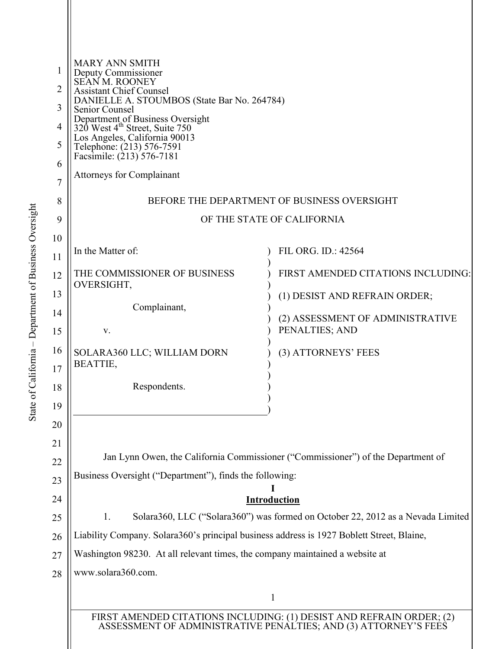| 1<br>2<br>3<br>4<br>5<br>6<br>$\overline{7}$<br>8 | <b>MARY ANN SMITH</b><br>Deputy Commissioner<br>SEAN M. ROONEY<br><b>Assistant Chief Counsel</b><br>DANIELLE A. STOUMBOS (State Bar No. 264784)<br>Senior Counsel<br>Department of Business Oversight<br>320 West 4 <sup>th</sup> Street, Suite 750<br>Los Angeles, California 90013<br>Telephone: (213) 576-7591<br>Facsimile: (213) 576-7181<br><b>Attorneys for Complainant</b><br>BEFORE THE DEPARTMENT OF BUSINESS OVERSIGHT |                                    |  |
|---------------------------------------------------|-----------------------------------------------------------------------------------------------------------------------------------------------------------------------------------------------------------------------------------------------------------------------------------------------------------------------------------------------------------------------------------------------------------------------------------|------------------------------------|--|
| 9<br>10                                           |                                                                                                                                                                                                                                                                                                                                                                                                                                   | OF THE STATE OF CALIFORNIA         |  |
| 11                                                | In the Matter of:                                                                                                                                                                                                                                                                                                                                                                                                                 | FIL ORG. ID.: 42564                |  |
| 12                                                | THE COMMISSIONER OF BUSINESS                                                                                                                                                                                                                                                                                                                                                                                                      | FIRST AMENDED CITATIONS INCLUDING: |  |
| 13                                                | OVERSIGHT,                                                                                                                                                                                                                                                                                                                                                                                                                        | (1) DESIST AND REFRAIN ORDER;      |  |
| 14                                                | Complainant,                                                                                                                                                                                                                                                                                                                                                                                                                      | (2) ASSESSMENT OF ADMINISTRATIVE   |  |
| 15                                                | V.                                                                                                                                                                                                                                                                                                                                                                                                                                | PENALTIES; AND                     |  |
| 16                                                | SOLARA360 LLC; WILLIAM DORN<br>BEATTIE,                                                                                                                                                                                                                                                                                                                                                                                           | (3) ATTORNEYS' FEES                |  |
| 17                                                |                                                                                                                                                                                                                                                                                                                                                                                                                                   |                                    |  |
| 18                                                | Respondents.                                                                                                                                                                                                                                                                                                                                                                                                                      |                                    |  |
| 19<br>20                                          |                                                                                                                                                                                                                                                                                                                                                                                                                                   |                                    |  |
| 21                                                |                                                                                                                                                                                                                                                                                                                                                                                                                                   |                                    |  |
| 22                                                | Jan Lynn Owen, the California Commissioner ("Commissioner") of the Department of                                                                                                                                                                                                                                                                                                                                                  |                                    |  |
| 23                                                | Business Oversight ("Department"), finds the following:                                                                                                                                                                                                                                                                                                                                                                           |                                    |  |
| 24                                                | <b>Introduction</b>                                                                                                                                                                                                                                                                                                                                                                                                               |                                    |  |
| 25                                                | Solara360, LLC ("Solara360") was formed on October 22, 2012 as a Nevada Limited<br>1.                                                                                                                                                                                                                                                                                                                                             |                                    |  |
| 26                                                | Liability Company. Solara360's principal business address is 1927 Boblett Street, Blaine,                                                                                                                                                                                                                                                                                                                                         |                                    |  |
| 27                                                | Washington 98230. At all relevant times, the company maintained a website at                                                                                                                                                                                                                                                                                                                                                      |                                    |  |
| 28                                                | www.solara360.com.                                                                                                                                                                                                                                                                                                                                                                                                                |                                    |  |
|                                                   |                                                                                                                                                                                                                                                                                                                                                                                                                                   |                                    |  |
|                                                   | FIRST AMENDED CITATIONS INCLUDING: (1) DESIST AND REFRAIN ORDER; (2)<br>ASSESSMENT OF ADMINISTRATIVE PENALTIES; AND (3) ATTORNEY'S FEES                                                                                                                                                                                                                                                                                           |                                    |  |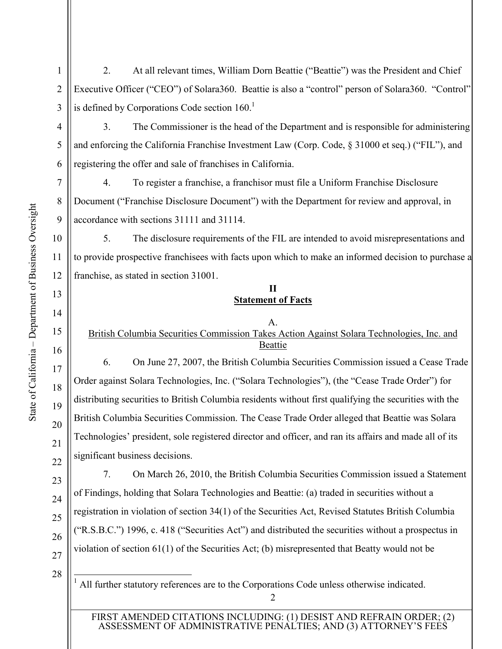2. At all relevant times, William Dorn Beattie ("Beattie") was the President and Chief Executive Officer ("CEO") of Solara360. Beattie is also a "control" person of Solara360. "Control" is defined by Corporations Code section  $160<sup>1</sup>$ 

3. The Commissioner is the head of the Department and is responsible for administering and enforcing the California Franchise Investment Law (Corp. Code, § 31000 et seq.) ("FIL"), and registering the offer and sale of franchises in California.

4. To register a franchise, a franchisor must file a Uniform Franchise Disclosure Document ("Franchise Disclosure Document") with the Department for review and approval, in accordance with sections 31111 and 31114.

5. The disclosure requirements of the FIL are intended to avoid misrepresentations and to provide prospective franchisees with facts upon which to make an informed decision to purchase a franchise, as stated in section 31001.

## **II Statement of Facts**

## A.

British Columbia Securities Commission Takes Action Against Solara Technologies, Inc. and Beattie

6. On June 27, 2007, the British Columbia Securities Commission issued a Cease Trade Order against Solara Technologies, Inc. ("Solara Technologies"), (the "Cease Trade Order") for distributing securities to British Columbia residents without first qualifying the securities with the British Columbia Securities Commission. The Cease Trade Order alleged that Beattie was Solara Technologies' president, sole registered director and officer, and ran its affairs and made all of its significant business decisions.

7. On March 26, 2010, the British Columbia Securities Commission issued a Statement of Findings, holding that Solara Technologies and Beattie: (a) traded in securities without a registration in violation of section 34(1) of the Securities Act, Revised Statutes British Columbia ("R.S.B.C.") 1996, c. 418 ("Securities Act") and distributed the securities without a prospectus in violation of section 61(1) of the Securities Act; (b) misrepresented that Beatty would not be

28

ı

<sup>1</sup> All further statutory references are to the Corporations Code unless otherwise indicated.

FIRST AMENDED CITATIONS INCLUDING: (1) DESIST AND REFRAIN ORDER; (2) ASSESSMENT OF ADMINISTRATIVE PENALTIES; AND (3) ATTORNEY'S FEES

1

2

3

4

5

6

7

8

9

10

11

12

13

14

15

16

17

18

19

20

21

22

23

24

25

26

27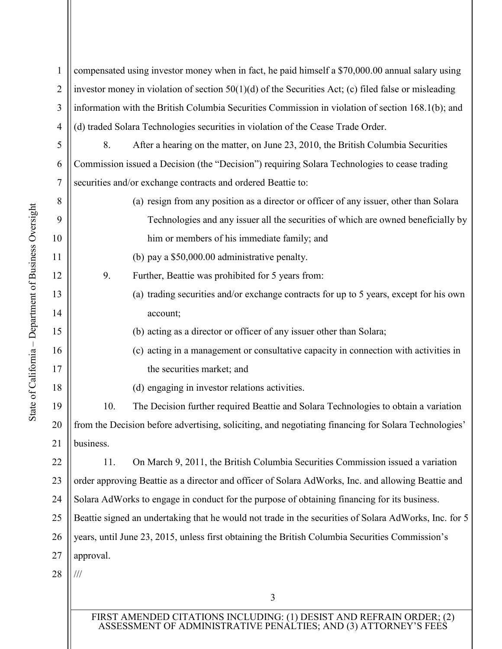| $\overline{2}$ | investor money in violation of section $50(1)(d)$ of the Securities Act; (c) filed false or misleading |                                                                                        |  |
|----------------|--------------------------------------------------------------------------------------------------------|----------------------------------------------------------------------------------------|--|
| 3              | information with the British Columbia Securities Commission in violation of section 168.1(b); and      |                                                                                        |  |
| $\overline{4}$ | (d) traded Solara Technologies securities in violation of the Cease Trade Order.                       |                                                                                        |  |
| 5              | 8.                                                                                                     | After a hearing on the matter, on June 23, 2010, the British Columbia Securities       |  |
| 6              | Commission issued a Decision (the "Decision") requiring Solara Technologies to cease trading           |                                                                                        |  |
| 7              | securities and/or exchange contracts and ordered Beattie to:                                           |                                                                                        |  |
| 8              |                                                                                                        | (a) resign from any position as a director or officer of any issuer, other than Solara |  |
| 9              |                                                                                                        | Technologies and any issuer all the securities of which are owned beneficially by      |  |
| 10             |                                                                                                        | him or members of his immediate family; and                                            |  |
| 11             |                                                                                                        | (b) pay a \$50,000.00 administrative penalty.                                          |  |
| 12             | 9.                                                                                                     | Further, Beattie was prohibited for 5 years from:                                      |  |
| 13             |                                                                                                        | (a) trading securities and/or exchange contracts for up to 5 years, except for his own |  |
| 14             |                                                                                                        | account;                                                                               |  |
| 15             |                                                                                                        | (b) acting as a director or officer of any issuer other than Solara;                   |  |
| 16             |                                                                                                        | (c) acting in a management or consultative capacity in connection with activities in   |  |
| 17             |                                                                                                        | the securities market; and                                                             |  |
| 18             |                                                                                                        | (d) engaging in investor relations activities.                                         |  |
| 19             | 10.                                                                                                    | The Decision further required Beattie and Solara Technologies to obtain a variation    |  |
| 20             | from the Decision before advertising, soliciting, and negotiating financing for Solara Technologies'   |                                                                                        |  |
| 21             | business.                                                                                              |                                                                                        |  |
| 22             | 11.                                                                                                    | On March 9, 2011, the British Columbia Securities Commission issued a variation        |  |
| 23             | order approving Beattie as a director and officer of Solara AdWorks, Inc. and allowing Beattie and     |                                                                                        |  |
| 24             | Solara AdWorks to engage in conduct for the purpose of obtaining financing for its business.           |                                                                                        |  |
| 25             | Beattie signed an undertaking that he would not trade in the securities of Solara AdWorks, Inc. for 5  |                                                                                        |  |
| 26             | years, until June 23, 2015, unless first obtaining the British Columbia Securities Commission's        |                                                                                        |  |
| 27             | approval.                                                                                              |                                                                                        |  |
| 28             | ///                                                                                                    |                                                                                        |  |
|                |                                                                                                        | 3                                                                                      |  |
|                | FIRST AMENDED CITATIONS INCLUDING: (1) DESIST AND REFRAIN ORDER; (2)                                   |                                                                                        |  |

compensated using investor money when in fact, he paid himself a \$70,000.00 annual salary using

1

ASSESSMENT OF ADMINISTRATIVE PENALTIES; AND (3) ATTORNEY'S FEES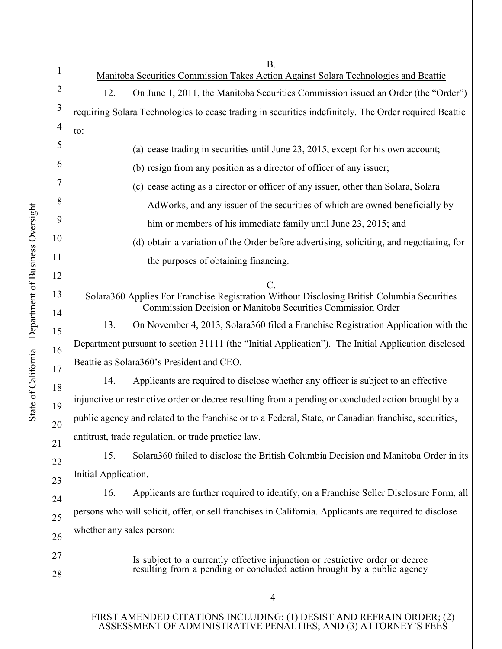| $\mathbf{1}$   | <b>B.</b><br>Manitoba Securities Commission Takes Action Against Solara Technologies and Beattie                                                           |  |  |
|----------------|------------------------------------------------------------------------------------------------------------------------------------------------------------|--|--|
| 2              | 12.<br>On June 1, 2011, the Manitoba Securities Commission issued an Order (the "Order")                                                                   |  |  |
| 3              | requiring Solara Technologies to cease trading in securities indefinitely. The Order required Beattie                                                      |  |  |
| $\overline{4}$ | to:                                                                                                                                                        |  |  |
| 5              | (a) cease trading in securities until June 23, 2015, except for his own account;                                                                           |  |  |
| 6              | (b) resign from any position as a director of officer of any issuer;                                                                                       |  |  |
| 7              | (c) cease acting as a director or officer of any issuer, other than Solara, Solara                                                                         |  |  |
| 8              | AdWorks, and any issuer of the securities of which are owned beneficially by                                                                               |  |  |
| 9              | him or members of his immediate family until June 23, 2015; and                                                                                            |  |  |
| 10             | (d) obtain a variation of the Order before advertising, soliciting, and negotiating, for                                                                   |  |  |
| 11             | the purposes of obtaining financing.                                                                                                                       |  |  |
| 12             |                                                                                                                                                            |  |  |
| 13             | Solara360 Applies For Franchise Registration Without Disclosing British Columbia Securities<br>Commission Decision or Manitoba Securities Commission Order |  |  |
| 14             | On November 4, 2013, Solara 360 filed a Franchise Registration Application with the<br>13.                                                                 |  |  |
| 15             | Department pursuant to section 31111 (the "Initial Application"). The Initial Application disclosed                                                        |  |  |
| 16             | Beattie as Solara360's President and CEO.                                                                                                                  |  |  |
| 17             | Applicants are required to disclose whether any officer is subject to an effective<br>14.                                                                  |  |  |
| 18<br>19       | injunctive or restrictive order or decree resulting from a pending or concluded action brought by a                                                        |  |  |
| 20             | public agency and related to the franchise or to a Federal, State, or Canadian franchise, securities,                                                      |  |  |
| 21             | antitrust, trade regulation, or trade practice law.                                                                                                        |  |  |
| 22             | Solara360 failed to disclose the British Columbia Decision and Manitoba Order in its<br>15.                                                                |  |  |
| 23             | Initial Application.                                                                                                                                       |  |  |
| 24             | Applicants are further required to identify, on a Franchise Seller Disclosure Form, all<br>16.                                                             |  |  |
| 25             | persons who will solicit, offer, or sell franchises in California. Applicants are required to disclose                                                     |  |  |
| 26             | whether any sales person:                                                                                                                                  |  |  |
| 27             | Is subject to a currently effective injunction or restrictive order or decree                                                                              |  |  |
| 28             | resulting from a pending or concluded action brought by a public agency                                                                                    |  |  |
|                | 4                                                                                                                                                          |  |  |
|                |                                                                                                                                                            |  |  |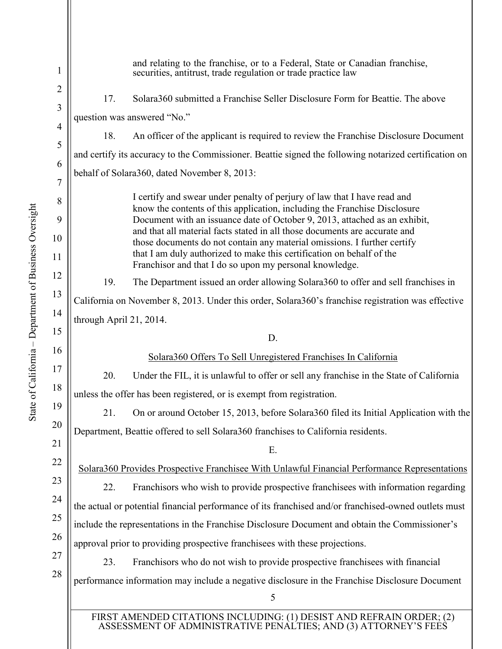5 1 2 3 4 5 6 7 8 9 10 11 12 13 14 15 16 17 18 19 20 21 22 23 24 25 26 27 28 and relating to the franchise, or to a Federal, State or Canadian franchise, securities, antitrust, trade regulation or trade practice law 17. Solara360 submitted a Franchise Seller Disclosure Form for Beattie. The above question was answered "No." 18. An officer of the applicant is required to review the Franchise Disclosure Document and certify its accuracy to the Commissioner. Beattie signed the following notarized certification on behalf of Solara360, dated November 8, 2013: I certify and swear under penalty of perjury of law that I have read and know the contents of this application, including the Franchise Disclosure Document with an issuance date of October 9, 2013, attached as an exhibit, and that all material facts stated in all those documents are accurate and those documents do not contain any material omissions. I further certify that I am duly authorized to make this certification on behalf of the Franchisor and that I do so upon my personal knowledge. 19. The Department issued an order allowing Solara360 to offer and sell franchises in California on November 8, 2013. Under this order, Solara360's franchise registration was effective through April 21, 2014. D. Solara360 Offers To Sell Unregistered Franchises In California 20. Under the FIL, it is unlawful to offer or sell any franchise in the State of California unless the offer has been registered, or is exempt from registration. 21. On or around October 15, 2013, before Solara360 filed its Initial Application with the Department, Beattie offered to sell Solara360 franchises to California residents. E. Solara360 Provides Prospective Franchisee With Unlawful Financial Performance Representations 22. Franchisors who wish to provide prospective franchisees with information regarding the actual or potential financial performance of its franchised and/or franchised-owned outlets must include the representations in the Franchise Disclosure Document and obtain the Commissioner's approval prior to providing prospective franchisees with these projections. 23. Franchisors who do not wish to provide prospective franchisees with financial performance information may include a negative disclosure in the Franchise Disclosure Document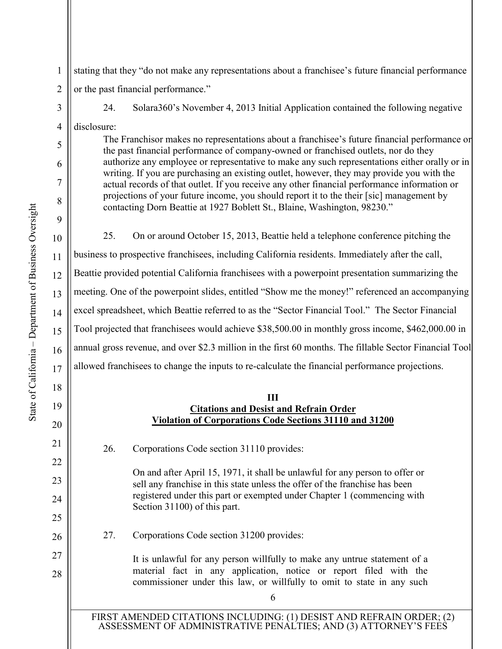10 11 12 13 14 15 16 17 18 State of California – Department of Business Oversight

State of California – Department of Business Oversight

19

20

21

22

23

24

25

26

27

28

stating that they "do not make any representations about a franchisee's future financial performance or the past financial performance."

1

2

3

4

5

6

7

8

9

24. Solara360's November 4, 2013 Initial Application contained the following negative

disclosure:

The Franchisor makes no representations about a franchisee's future financial performance or the past financial performance of company-owned or franchised outlets, nor do they authorize any employee or representative to make any such representations either orally or in writing. If you are purchasing an existing outlet, however, they may provide you with the actual records of that outlet. If you receive any other financial performance information or projections of your future income, you should report it to the their [sic] management by contacting Dorn Beattie at 1927 Boblett St., Blaine, Washington, 98230."

25. On or around October 15, 2013, Beattie held a telephone conference pitching the business to prospective franchisees, including California residents. Immediately after the call, Beattie provided potential California franchisees with a powerpoint presentation summarizing the meeting. One of the powerpoint slides, entitled "Show me the money!" referenced an accompanying excel spreadsheet, which Beattie referred to as the "Sector Financial Tool." The Sector Financial Tool projected that franchisees would achieve \$38,500.00 in monthly gross income, \$462,000.00 in annual gross revenue, and over \$2.3 million in the first 60 months. The fillable Sector Financial Tool allowed franchisees to change the inputs to re-calculate the financial performance projections.

## **III Citations and Desist and Refrain Order Violation of Corporations Code Sections 31110 and 31200**

26. Corporations Code section 31110 provides:

On and after April 15, 1971, it shall be unlawful for any person to offer or sell any franchise in this state unless the offer of the franchise has been registered under this part or exempted under Chapter 1 (commencing with Section 31100) of this part.

27. Corporations Code section 31200 provides:

It is unlawful for any person willfully to make any untrue statement of a material fact in any application, notice or report filed with the commissioner under this law, or willfully to omit to state in any such

6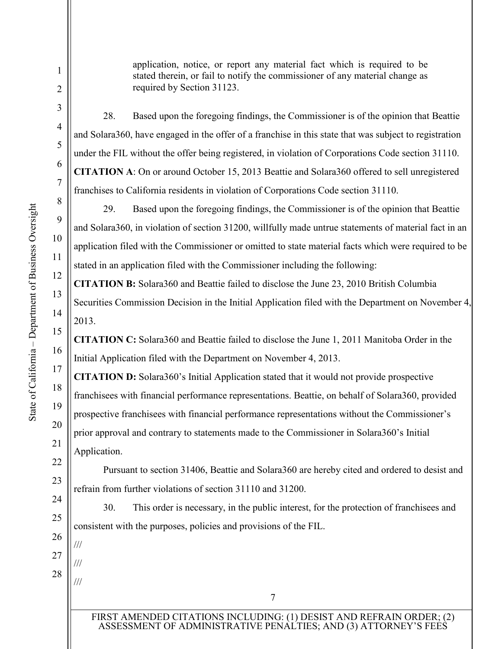application, notice, or report any material fact which is required to be stated therein, or fail to notify the commissioner of any material change as required by Section 31123.

28. Based upon the foregoing findings, the Commissioner is of the opinion that Beattie and Solara360, have engaged in the offer of a franchise in this state that was subject to registration under the FIL without the offer being registered, in violation of Corporations Code section 31110. **CITATION A**: On or around October 15, 2013 Beattie and Solara360 offered to sell unregistered franchises to California residents in violation of Corporations Code section 31110.

29. Based upon the foregoing findings, the Commissioner is of the opinion that Beattie and Solara360, in violation of section 31200, willfully made untrue statements of material fact in an application filed with the Commissioner or omitted to state material facts which were required to be stated in an application filed with the Commissioner including the following:

**CITATION B:** Solara360 and Beattie failed to disclose the June 23, 2010 British Columbia Securities Commission Decision in the Initial Application filed with the Department on November 4, 2013.

**CITATION C:** Solara360 and Beattie failed to disclose the June 1, 2011 Manitoba Order in the Initial Application filed with the Department on November 4, 2013.

**CITATION D:** Solara360's Initial Application stated that it would not provide prospective franchisees with financial performance representations. Beattie, on behalf of Solara360, provided prospective franchisees with financial performance representations without the Commissioner's prior approval and contrary to statements made to the Commissioner in Solara360's Initial Application.

Pursuant to section 31406, Beattie and Solara360 are hereby cited and ordered to desist and refrain from further violations of section 31110 and 31200.

30. This order is necessary, in the public interest, for the protection of franchisees and consistent with the purposes, policies and provisions of the FIL.

27 28 ///

///

///

1

2

3

4

5

6

7

8

9

10

11

12

13

14

15

16

17

18

19

20

21

22

23

24

25

26

FIRST AMENDED CITATIONS INCLUDING: (1) DESIST AND REFRAIN ORDER; (2) ASSESSMENT OF ADMINISTRATIVE PENALTIES; AND (3) ATTORNEY'S FEES

7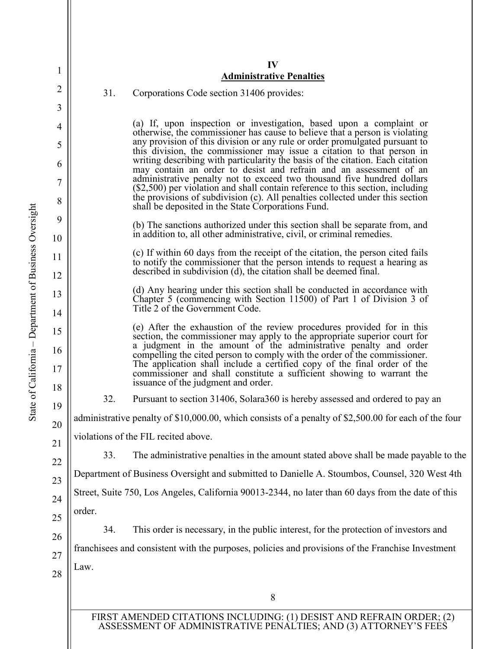|                                                                                                       | IV<br><b>Administrative Penalties</b>                                                                                                                                                                                                                                                                |
|-------------------------------------------------------------------------------------------------------|------------------------------------------------------------------------------------------------------------------------------------------------------------------------------------------------------------------------------------------------------------------------------------------------------|
| 31.                                                                                                   | Corporations Code section 31406 provides:                                                                                                                                                                                                                                                            |
|                                                                                                       |                                                                                                                                                                                                                                                                                                      |
|                                                                                                       | (a) If, upon inspection or investigation, based upon a complaint or<br>otherwise, the commissioner has cause to believe that a person is violating                                                                                                                                                   |
|                                                                                                       | any provision of this division or any rule or order promulgated pursuant to<br>this division, the commissioner may issue a citation to that person in<br>writing describing with particularity the basis of the citation. Each citation                                                              |
|                                                                                                       | may contain an order to desist and refrain and an assessment of an<br>administrative penalty not to exceed two thousand five hundred dollars<br>$(\$2,500)$ per violation and shall contain reference to this section, including                                                                     |
|                                                                                                       | the provisions of subdivision (c). All penalties collected under this section<br>shall be deposited in the State Corporations Fund.                                                                                                                                                                  |
|                                                                                                       | (b) The sanctions authorized under this section shall be separate from, and<br>in addition to, all other administrative, civil, or criminal remedies.                                                                                                                                                |
|                                                                                                       | (c) If within 60 days from the receipt of the citation, the person cited fails<br>to notify the commissioner that the person intends to request a hearing as                                                                                                                                         |
|                                                                                                       | described in subdivision (d), the citation shall be deemed final.                                                                                                                                                                                                                                    |
|                                                                                                       | (d) Any hearing under this section shall be conducted in accordance with<br>Chapter 5 (commencing with Section 11500) of Part 1 of Division 3 of<br>Title 2 of the Government Code.                                                                                                                  |
|                                                                                                       | (e) After the exhaustion of the review procedures provided for in this<br>section, the commissioner may apply to the appropriate superior court for<br>a judgment in the amount of the administrative penalty and order<br>compelling the cited person to comply with the order of the commissioner. |
|                                                                                                       | The application shall include a certified copy of the final order of the<br>commissioner and shall constitute a sufficient showing to warrant the<br>issuance of the judgment and order.                                                                                                             |
| 32.                                                                                                   | Pursuant to section 31406, Solara 360 is hereby assessed and ordered to pay an                                                                                                                                                                                                                       |
| administrative penalty of \$10,000.00, which consists of a penalty of \$2,500.00 for each of the four |                                                                                                                                                                                                                                                                                                      |
| violations of the FIL recited above.                                                                  |                                                                                                                                                                                                                                                                                                      |
| 33.                                                                                                   | The administrative penalties in the amount stated above shall be made payable to the                                                                                                                                                                                                                 |
| Department of Business Oversight and submitted to Danielle A. Stoumbos, Counsel, 320 West 4th         |                                                                                                                                                                                                                                                                                                      |
| Street, Suite 750, Los Angeles, California 90013-2344, no later than 60 days from the date of this    |                                                                                                                                                                                                                                                                                                      |
| order.                                                                                                |                                                                                                                                                                                                                                                                                                      |
| 34.                                                                                                   | This order is necessary, in the public interest, for the protection of investors and                                                                                                                                                                                                                 |
|                                                                                                       | franchisees and consistent with the purposes, policies and provisions of the Franchise Investment                                                                                                                                                                                                    |
| Law.                                                                                                  |                                                                                                                                                                                                                                                                                                      |
|                                                                                                       | 8                                                                                                                                                                                                                                                                                                    |

State of California - Department of Business Oversight – Department of Business Oversight State of California